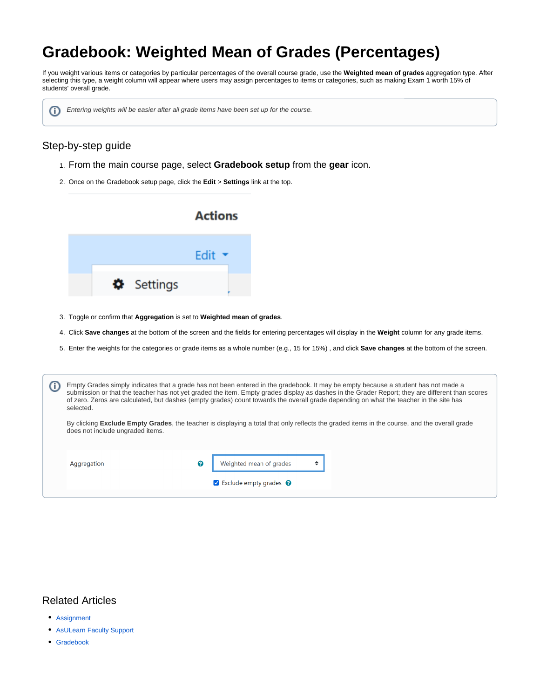# **Gradebook: Weighted Mean of Grades (Percentages)**

If you weight various items or categories by particular percentages of the overall course grade, use the **Weighted mean of grades** aggregation type. After selecting this type, a weight column will appear where users may assign percentages to items or categories, such as making Exam 1 worth 15% of students' overall grade.



## Step-by-step guide

- 1. From the main course page, select **Gradebook setup** from the **gear** icon.
- 2. Once on the Gradebook setup page, click the **Edit** > **Settings** link at the top.



- 3. Toggle or confirm that **Aggregation** is set to **Weighted mean of grades**.
- 4. Click **Save changes** at the bottom of the screen and the fields for entering percentages will display in the **Weight** column for any grade items.
- 5. Enter the weights for the categories or grade items as a whole number (e.g., 15 for 15%) , and click **Save changes** at the bottom of the screen.

| selected.                                                                                                                                                                                | Empty Grades simply indicates that a grade has not been entered in the gradebook. It may be empty because a student has not made a<br>submission or that the teacher has not yet graded the item. Empty grades display as dashes in the Grader Report; they are different than scores<br>of zero. Zeros are calculated, but dashes (empty grades) count towards the overall grade depending on what the teacher in the site has |                                                              |  |  |  |
|------------------------------------------------------------------------------------------------------------------------------------------------------------------------------------------|---------------------------------------------------------------------------------------------------------------------------------------------------------------------------------------------------------------------------------------------------------------------------------------------------------------------------------------------------------------------------------------------------------------------------------|--------------------------------------------------------------|--|--|--|
| By clicking <b>Exclude Empty Grades</b> , the teacher is displaying a total that only reflects the graded items in the course, and the overall grade<br>does not include ungraded items. |                                                                                                                                                                                                                                                                                                                                                                                                                                 |                                                              |  |  |  |
| Aggregation                                                                                                                                                                              | Q                                                                                                                                                                                                                                                                                                                                                                                                                               | Weighted mean of grades<br>Exclude empty grades <sup>2</sup> |  |  |  |

## Related Articles

- [Assignment](https://confluence.appstate.edu/display/ATKB/Assignment)
- [AsULearn Faculty Support](https://confluence.appstate.edu/display/ATKB/AsULearn+Faculty+Support)
- [Gradebook](https://confluence.appstate.edu/display/ATKB/Gradebook)